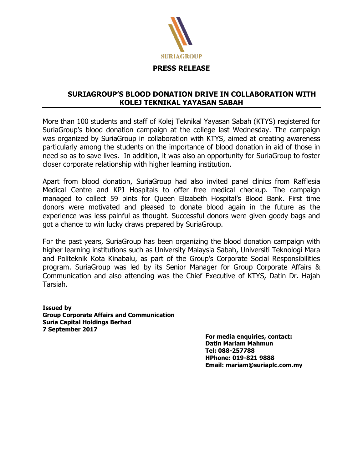

## **SURIAGROUP'S BLOOD DONATION DRIVE IN COLLABORATION WITH KOLEJ TEKNIKAL YAYASAN SABAH**

More than 100 students and staff of Kolej Teknikal Yayasan Sabah (KTYS) registered for SuriaGroup's blood donation campaign at the college last Wednesday. The campaign was organized by SuriaGroup in collaboration with KTYS, aimed at creating awareness particularly among the students on the importance of blood donation in aid of those in need so as to save lives. In addition, it was also an opportunity for SuriaGroup to foster closer corporate relationship with higher learning institution.

Apart from blood donation, SuriaGroup had also invited panel clinics from Rafflesia Medical Centre and KPJ Hospitals to offer free medical checkup. The campaign managed to collect 59 pints for Queen Elizabeth Hospital's Blood Bank. First time donors were motivated and pleased to donate blood again in the future as the experience was less painful as thought. Successful donors were given goody bags and got a chance to win lucky draws prepared by SuriaGroup.

For the past years, SuriaGroup has been organizing the blood donation campaign with higher learning institutions such as University Malaysia Sabah, Universiti Teknologi Mara and Politeknik Kota Kinabalu, as part of the Group's Corporate Social Responsibilities program. SuriaGroup was led by its Senior Manager for Group Corporate Affairs & Communication and also attending was the Chief Executive of KTYS, Datin Dr. Hajah Tarsiah.

**Issued by Group Corporate Affairs and Communication Suria Capital Holdings Berhad 7 September 2017**

**For media enquiries, contact: Datin Mariam Mahmun Tel: 088-257788 HPhone: 019-821 9888 Email: mariam@suriaplc.com.my**